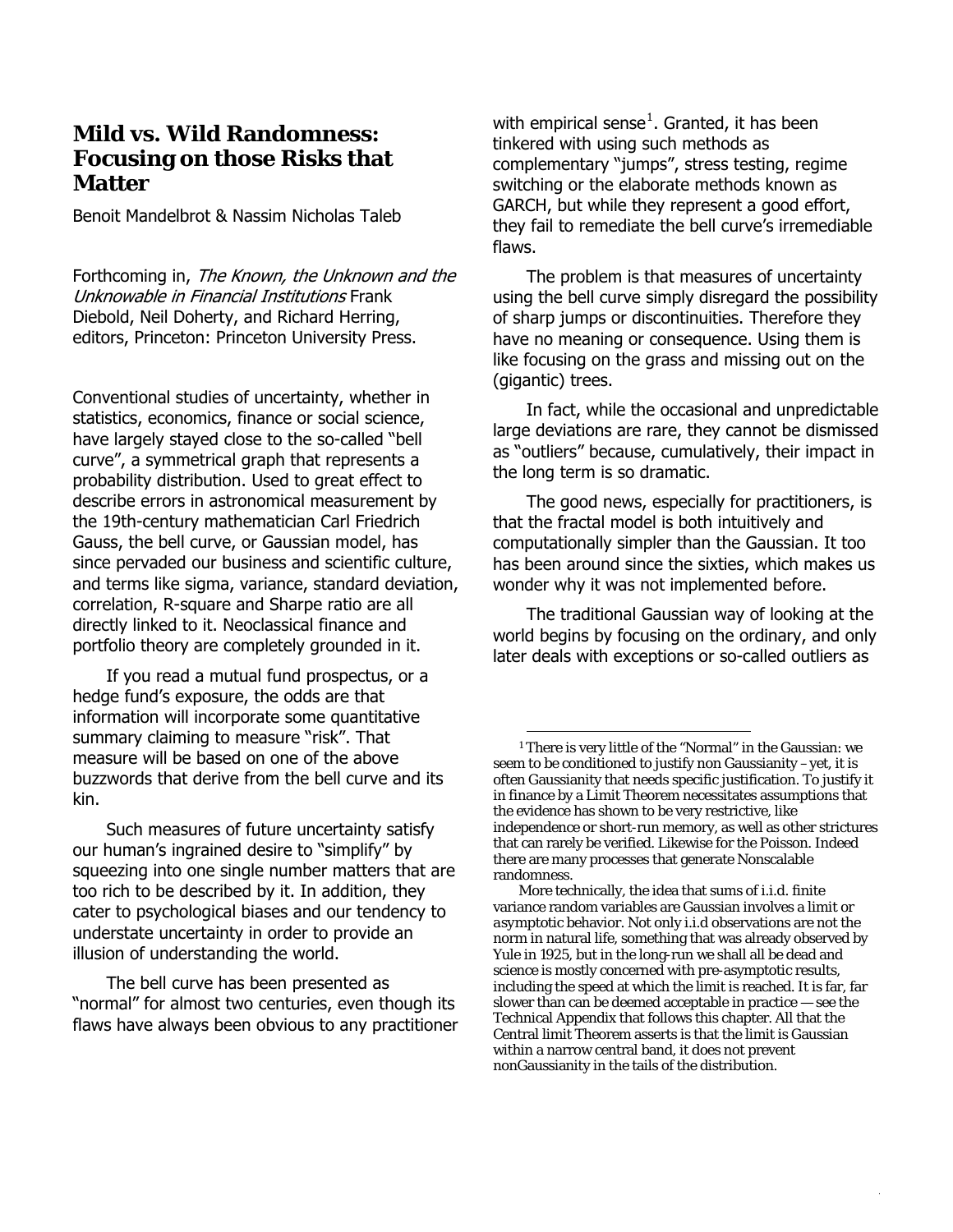# **Mild vs. Wild Randomness: Focusing on those Risks that Matter**

Benoit Mandelbrot & Nassim Nicholas Taleb

Forthcoming in, The Known, the Unknown and the Unknowable in Financial Institutions Frank Diebold, Neil Doherty, and Richard Herring, editors, Princeton: Princeton University Press.

Conventional studies of uncertainty, whether in statistics, economics, finance or social science, have largely stayed close to the so-called "bell curve", a symmetrical graph that represents a probability distribution. Used to great effect to describe errors in astronomical measurement by the 19th-century mathematician Carl Friedrich Gauss, the bell curve, or Gaussian model, has since pervaded our business and scientific culture, and terms like sigma, variance, standard deviation, correlation, R-square and Sharpe ratio are all directly linked to it. Neoclassical finance and portfolio theory are completely grounded in it.

<span id="page-0-0"></span>If you read a mutual fund prospectus, or a hedge fund's exposure, the odds are that information will incorporate some quantitative summary claiming to measure "risk". That measure will be based on one of the above buzzwords that derive from the bell curve and its kin.

Such measures of future uncertainty satisfy our human's ingrained desire to "simplify" by squeezing into one single number matters that are too rich to be described by it. In addition, they cater to psychological biases and our tendency to understate uncertainty in order to provide an illusion of understanding the world.

The bell curve has been presented as "normal" for almost two centuries, even though its flaws have always been obvious to any practitioner

with empirical sense<sup>[1](#page-0-0)</sup>. Granted, it has been tinkered with using such methods as complementary "jumps", stress testing, regime switching or the elaborate methods known as GARCH, but while they represent a good effort, they fail to remediate the bell curve's irremediable flaws.

The problem is that measures of uncertainty using the bell curve simply disregard the possibility of sharp jumps or discontinuities. Therefore they have no meaning or consequence. Using them is like focusing on the grass and missing out on the (gigantic) trees.

In fact, while the occasional and unpredictable large deviations are rare, they cannot be dismissed as "outliers" because, cumulatively, their impact in the long term is so dramatic.

The good news, especially for practitioners, is that the fractal model is both intuitively and computationally simpler than the Gaussian. It too has been around since the sixties, which makes us wonder why it was not implemented before.

The traditional Gaussian way of looking at the world begins by focusing on the ordinary, and only later deals with exceptions or so-called outliers as

j

<sup>1</sup> There is very little of the "Normal" in the Gaussian: we seem to be conditioned to justify non Gaussianity –yet, it is often Gaussianity that needs specific justification. To justify it in finance by a Limit Theorem necessitates assumptions that the evidence has shown to be very restrictive, like independence or short-run memory, as well as other strictures that can rarely be verified. Likewise for the Poisson. Indeed there are many processes that generate Nonscalable randomness.

More technically, the idea that sums of i.i.d. finite variance random variables are Gaussian involves a *limit* or *asymptotic* behavior. Not only i.i.d observations are not the norm in natural life, something that was already observed by Yule in 1925, but in the long-run we shall all be dead and science is mostly concerned with pre-asymptotic results, including the speed at which the limit is reached. It is far, far slower than can be deemed acceptable in practice — see the Technical Appendix that follows this chapter. All that the Central limit Theorem asserts is that the limit is Gaussian within a narrow central band, it does not prevent nonGaussianity in the tails of the distribution.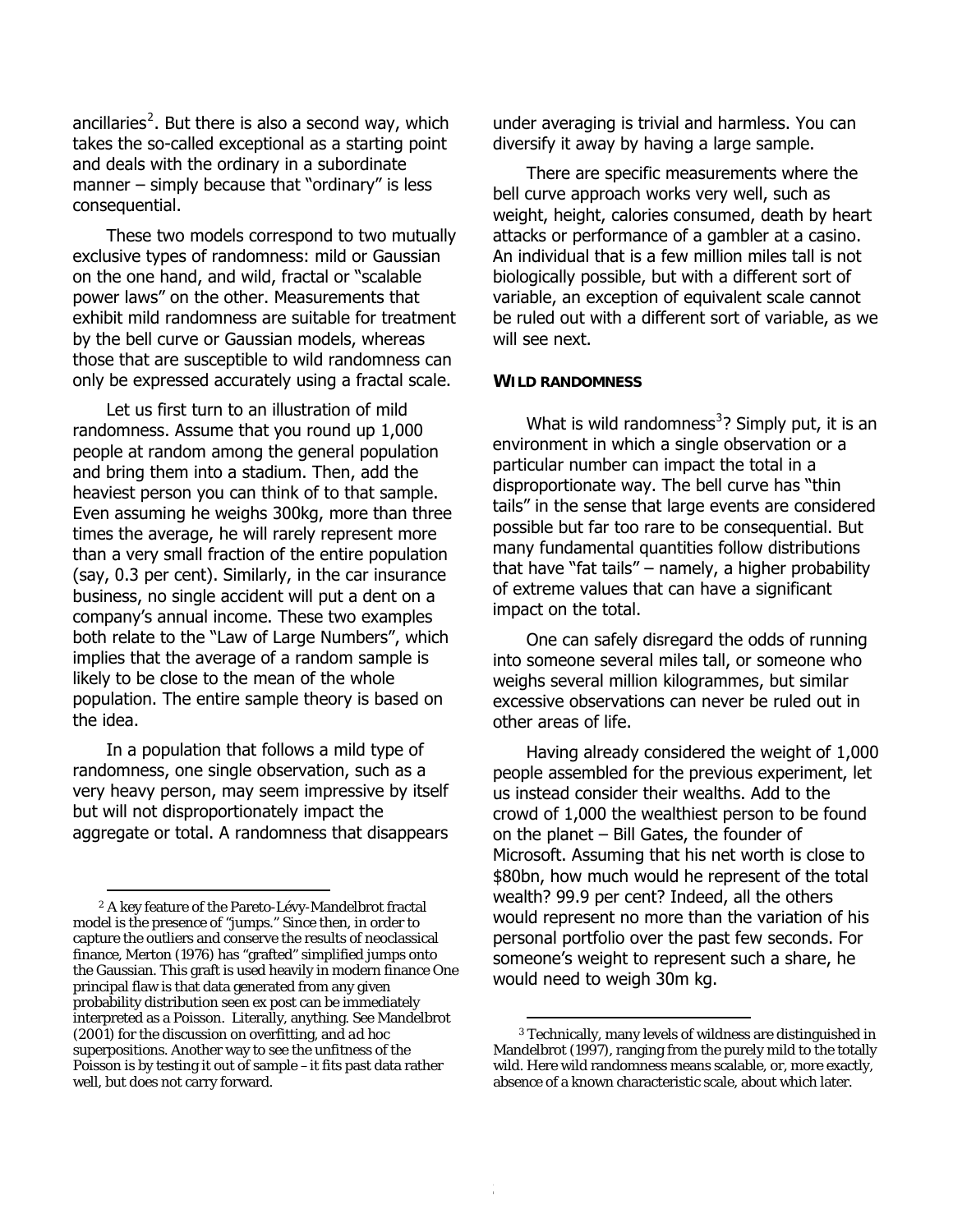ancillaries<sup>[2](#page-1-0)</sup>. But there is also a second way, which takes the so-called exceptional as a starting point and deals with the ordinary in a subordinate manner – simply because that "ordinary" is less consequential.

These two models correspond to two mutually exclusive types of randomness: mild or Gaussian on the one hand, and wild, fractal or "scalable power laws" on the other. Measurements that exhibit mild randomness are suitable for treatment by the bell curve or Gaussian models, whereas those that are susceptible to wild randomness can only be expressed accurately using a fractal scale.

Let us first turn to an illustration of mild randomness. Assume that you round up 1,000 people at random among the general population and bring them into a stadium. Then, add the heaviest person you can think of to that sample. Even assuming he weighs 300kg, more than three times the average, he will rarely represent more than a very small fraction of the entire population (say, 0.3 per cent). Similarly, in the car insurance business, no single accident will put a dent on a company's annual income. These two examples both relate to the "Law of Large Numbers", which implies that the average of a random sample is likely to be close to the mean of the whole population. The entire sample theory is based on the idea.

In a population that follows a mild type of randomness, one single observation, such as a very heavy person, may seem impressive by itself but will not disproportionately impact the aggregate or total. A randomness that disappears

 $\overline{a}$ 

under averaging is trivial and harmless. You can diversify it away by having a large sample.

There are specific measurements where the bell curve approach works very well, such as weight, height, calories consumed, death by heart attacks or performance of a gambler at a casino. An individual that is a few million miles tall is not biologically possible, but with a different sort of variable, an exception of equivalent scale cannot be ruled out with a different sort of variable, as we will see next.

#### **WILD RANDOMNESS**

-

What is wild randomness<sup>[3](#page-1-1)</sup>? Simply put, it is an environment in which a single observation or a particular number can impact the total in a disproportionate way. The bell curve has "thin tails" in the sense that large events are considered possible but far too rare to be consequential. But many fundamental quantities follow distributions that have "fat tails" – namely, a higher probability of extreme values that can have a significant impact on the total.

One can safely disregard the odds of running into someone several miles tall, or someone who weighs several million kilogrammes, but similar excessive observations can never be ruled out in other areas of life.

Having already considered the weight of 1,000 people assembled for the previous experiment, let us instead consider their wealths. Add to the crowd of 1,000 the wealthiest person to be found on the planet – Bill Gates, the founder of Microsoft. Assuming that his net worth is close to \$80bn, how much would he represent of the total wealth? 99.9 per cent? Indeed, all the others would represent no more than the variation of his personal portfolio over the past few seconds. For someone's weight to represent such a share, he would need to weigh 30m kg.

<span id="page-1-1"></span><span id="page-1-0"></span><sup>2</sup> A key feature of the Pareto-Lévy-Mandelbrot fractal model is the presence of "jumps." Since then, in order to capture the outliers and conserve the results of neoclassical finance, Merton (1976) has "grafted" simplified jumps onto the Gaussian. This graft is used heavily in modern finance One principal flaw is that data generated from any given probability distribution seen ex post can be immediately interpreted as a Poisson. Literally, anything. See Mandelbrot (2001) for the discussion on overfitting, and *ad hoc*  superpositions. Another way to see the unfitness of the Poisson is by testing it out of sample –it fits past data rather well, but does not carry forward.

<sup>3</sup> Technically, many levels of wildness are distinguished in Mandelbrot (1997), ranging from the purely mild to the totally wild. Here wild randomness means scalable, or, more exactly, absence of a known characteristic scale, about which later.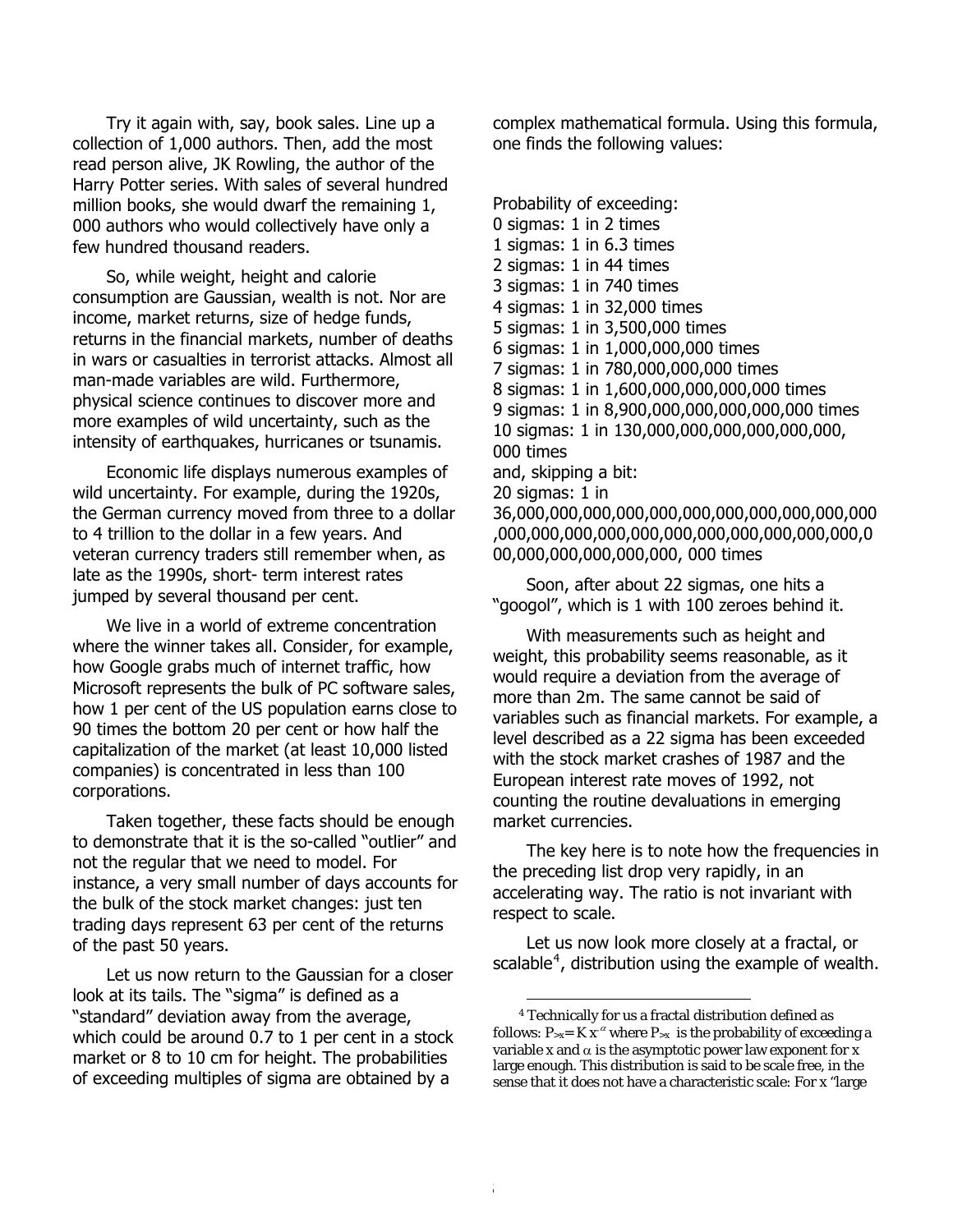Try it again with, say, book sales. Line up a collection of 1,000 authors. Then, add the most read person alive, JK Rowling, the author of the Harry Potter series. With sales of several hundred million books, she would dwarf the remaining 1, 000 authors who would collectively have only a few hundred thousand readers.

So, while weight, height and calorie consumption are Gaussian, wealth is not. Nor are income, market returns, size of hedge funds, returns in the financial markets, number of deaths in wars or casualties in terrorist attacks. Almost all man-made variables are wild. Furthermore, physical science continues to discover more and more examples of wild uncertainty, such as the intensity of earthquakes, hurricanes or tsunamis.

Economic life displays numerous examples of wild uncertainty. For example, during the 1920s, the German currency moved from three to a dollar to 4 trillion to the dollar in a few years. And veteran currency traders still remember when, as late as the 1990s, short- term interest rates jumped by several thousand per cent.

We live in a world of extreme concentration where the winner takes all. Consider, for example, how Google grabs much of internet traffic, how Microsoft represents the bulk of PC software sales, how 1 per cent of the US population earns close to 90 times the bottom 20 per cent or how half the capitalization of the market (at least 10,000 listed companies) is concentrated in less than 100 corporations.

Taken together, these facts should be enough to demonstrate that it is the so-called "outlier" and not the regular that we need to model. For instance, a very small number of days accounts for the bulk of the stock market changes: just ten trading days represent 63 per cent of the returns of the past 50 years.

<span id="page-2-0"></span>Let us now return to the Gaussian for a closer look at its tails. The "sigma" is defined as a "standard" deviation away from the average, which could be around 0.7 to 1 per cent in a stock market or 8 to 10 cm for height. The probabilities of exceeding multiples of sigma are obtained by a

complex mathematical formula. Using this formula, one finds the following values:

Probability of exceeding: 0 sigmas: 1 in 2 times 1 sigmas: 1 in 6.3 times 2 sigmas: 1 in 44 times 3 sigmas: 1 in 740 times 4 sigmas: 1 in 32,000 times 5 sigmas: 1 in 3,500,000 times 6 sigmas: 1 in 1,000,000,000 times 7 sigmas: 1 in 780,000,000,000 times 8 sigmas: 1 in 1,600,000,000,000,000 times 9 sigmas: 1 in 8,900,000,000,000,000,000 times 10 sigmas: 1 in 130,000,000,000,000,000,000, 000 times and, skipping a bit: 20 sigmas: 1 in 36,000,000,000,000,000,000,000,000,000,000,000 ,000,000,000,000,000,000,000,000,000,000,000,0 00,000,000,000,000,000, 000 times

Soon, after about 22 sigmas, one hits a "googol", which is 1 with 100 zeroes behind it.

With measurements such as height and weight, this probability seems reasonable, as it would require a deviation from the average of more than 2m. The same cannot be said of variables such as financial markets. For example, a level described as a 22 sigma has been exceeded with the stock market crashes of 1987 and the European interest rate moves of 1992, not counting the routine devaluations in emerging market currencies.

The key here is to note how the frequencies in the preceding list drop very rapidly, in an accelerating way. The ratio is not invariant with respect to scale.

Let us now look more closely at a fractal, or scalable<sup>[4](#page-2-0)</sup>, distribution using the example of wealth.

j

<sup>4</sup> Technically for us a fractal distribution defined as follows:  $P_{\geq x} = K x^{\alpha}$  where  $P_{\geq x}$  is the probability of exceeding a variable *x* and  $\alpha$  is the asymptotic power law exponent for *x* large enough. This distribution is said to be scale free, in the sense that it does not have a characteristic scale: For *x* "large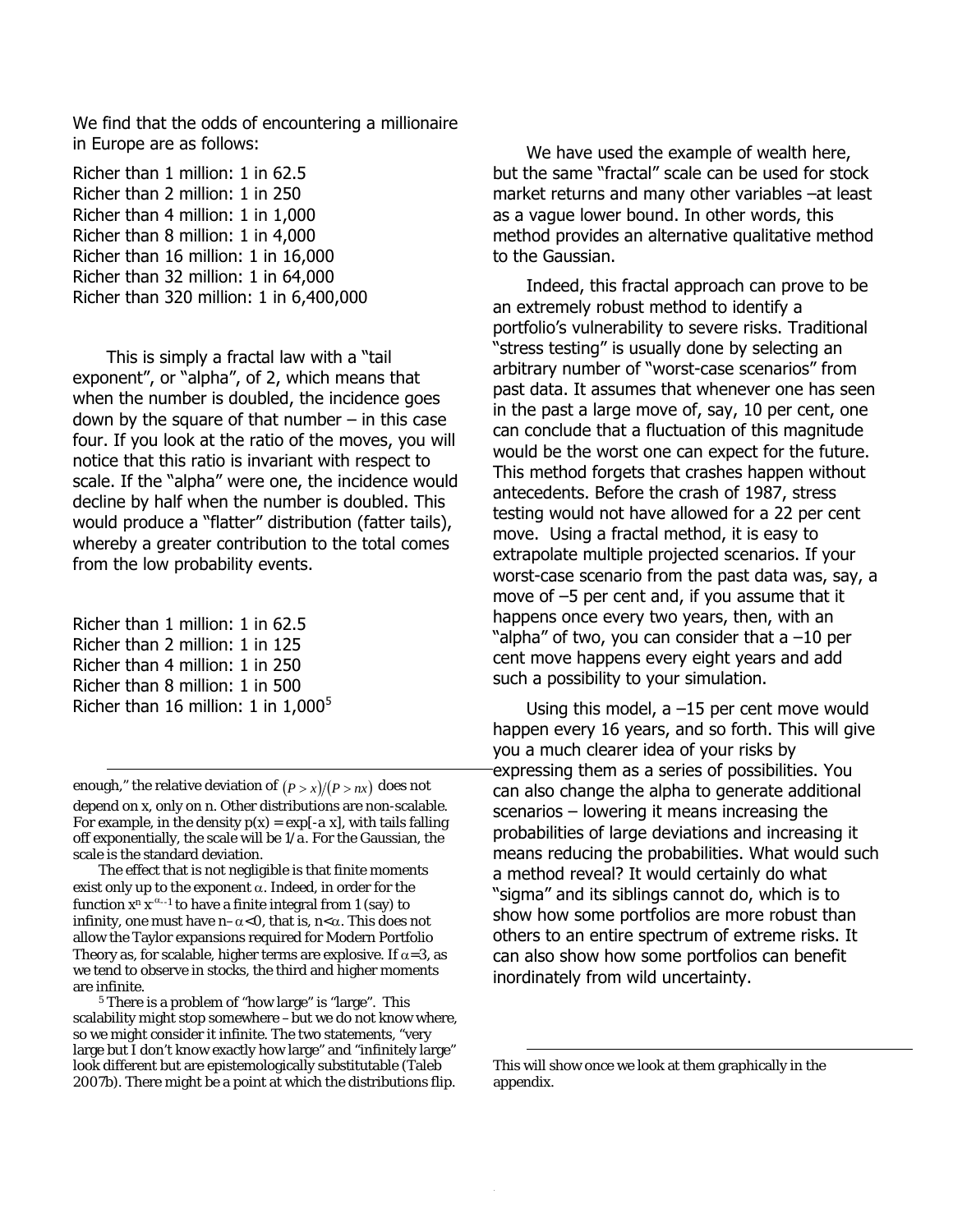We find that the odds of encountering a millionaire in Europe are as follows:

Richer than 1 million: 1 in 62.5 Richer than 2 million: 1 in 250 Richer than 4 million: 1 in 1,000 Richer than 8 million: 1 in 4,000 Richer than 16 million: 1 in 16,000 Richer than 32 million: 1 in 64,000 Richer than 320 million: 1 in 6,400,000

This is simply a fractal law with a "tail exponent", or "alpha", of 2, which means that when the number is doubled, the incidence goes down by the square of that number  $-$  in this case four. If you look at the ratio of the moves, you will notice that this ratio is invariant with respect to scale. If the "alpha" were one, the incidence would decline by half when the number is doubled. This would produce a "flatter" distribution (fatter tails), whereby a greater contribution to the total comes from the low probability events.

Richer than 1 million: 1 in 62.5 Richer than 2 million: 1 in 125 Richer than 4 million: 1 in 250 Richer than 8 million: 1 in 500 Richer than 16 million: 1 in  $1,000^5$  $1,000^5$ 

j

enough," the relative deviation of  $(P > x)/(P > nx)$  does not depend on *x*, only on *n.* Other distributions are non-scalable. For example, in the density  $p(x) = \exp[-a x]$ , with tails falling off exponentially, the scale will be 1/*a*. For the Gaussian, the scale is the standard deviation.

The effect that is not negligible is that finite moments exist only up to the exponent  $\alpha$ . Indeed, in order for the function  $x^n x^{\alpha-1}$  to have a finite integral from 1 (say) to infinity, one must have *n–*α<0, that is, *n<*α*.* This does not allow the Taylor expansions required for Modern Portfolio Theory as, for scalable, higher terms are explosive. If  $\alpha=3$ , as we tend to observe in stocks, the third and higher moments are infinite. 5 There is a problem of "how large" is "large". This

<span id="page-3-0"></span>scalability might stop somewhere –but we do not know where, so we might consider it infinite. The two statements, "very large but I don't know exactly how large" and "infinitely large" look different but are epistemologically substitutable (Taleb 2007b). There might be a point at which the distributions flip.

We have used the example of wealth here, but the same "fractal" scale can be used for stock market returns and many other variables –at least as a vague lower bound. In other words, this method provides an alternative qualitative method to the Gaussian.

Indeed, this fractal approach can prove to be an extremely robust method to identify a portfolio's vulnerability to severe risks. Traditional "stress testing" is usually done by selecting an arbitrary number of "worst-case scenarios" from past data. It assumes that whenever one has seen in the past a large move of, say, 10 per cent, one can conclude that a fluctuation of this magnitude would be the worst one can expect for the future. This method forgets that crashes happen without antecedents. Before the crash of 1987, stress testing would not have allowed for a 22 per cent move. Using a fractal method, it is easy to extrapolate multiple projected scenarios. If your worst-case scenario from the past data was, say, a move of –5 per cent and, if you assume that it happens once every two years, then, with an "alpha" of two, you can consider that a  $-10$  per cent move happens every eight years and add such a possibility to your simulation.

Using this model,  $a - 15$  per cent move would happen every 16 years, and so forth. This will give you a much clearer idea of your risks by expressing them as a series of possibilities. You can also change the alpha to generate additional scenarios – lowering it means increasing the probabilities of large deviations and increasing it means reducing the probabilities. What would such a method reveal? It would certainly do what "sigma" and its siblings cannot do, which is to show how some portfolios are more robust than others to an entire spectrum of extreme risks. It can also show how some portfolios can benefit inordinately from wild uncertainty.

j

This will show once we look at them graphically in the appendix.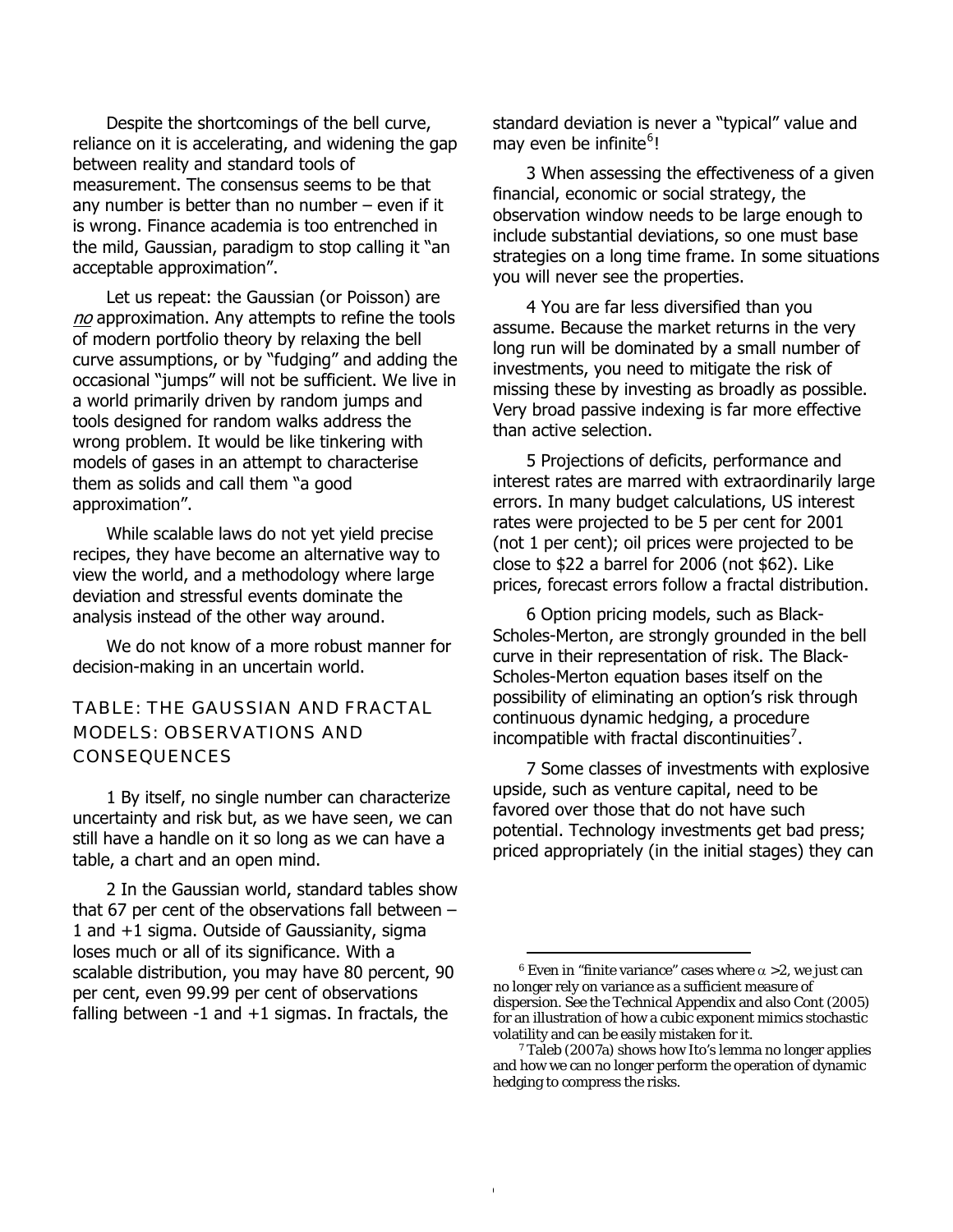Despite the shortcomings of the bell curve, reliance on it is accelerating, and widening the gap between reality and standard tools of measurement. The consensus seems to be that any number is better than no number  $-$  even if it is wrong. Finance academia is too entrenched in the mild, Gaussian, paradigm to stop calling it "an acceptable approximation".

Let us repeat: the Gaussian (or Poisson) are no approximation. Any attempts to refine the tools of modern portfolio theory by relaxing the bell curve assumptions, or by "fudging" and adding the occasional "jumps" will not be sufficient. We live in a world primarily driven by random jumps and tools designed for random walks address the wrong problem. It would be like tinkering with models of gases in an attempt to characterise them as solids and call them "a good approximation".

While scalable laws do not yet yield precise recipes, they have become an alternative way to view the world, and a methodology where large deviation and stressful events dominate the analysis instead of the other way around.

We do not know of a more robust manner for decision-making in an uncertain world.

### TABLE: THE GAUSSIAN AND FRACTAL MODELS: OBSERVATIONS AND **CONSEQUENCES**

1 By itself, no single number can characterize uncertainty and risk but, as we have seen, we can still have a handle on it so long as we can have a table, a chart and an open mind.

<span id="page-4-1"></span><span id="page-4-0"></span>2 In the Gaussian world, standard tables show that 67 per cent of the observations fall between – 1 and +1 sigma. Outside of Gaussianity, sigma loses much or all of its significance. With a scalable distribution, you may have 80 percent, 90 per cent, even 99.99 per cent of observations falling between  $-1$  and  $+1$  sigmas. In fractals, the

standard deviation is never a "typical" value and may even be infinite<sup>[6](#page-4-0)</sup>!

3 When assessing the effectiveness of a given financial, economic or social strategy, the observation window needs to be large enough to include substantial deviations, so one must base strategies on a long time frame. In some situations you will never see the properties.

4 You are far less diversified than you assume. Because the market returns in the very long run will be dominated by a small number of investments, you need to mitigate the risk of missing these by investing as broadly as possible. Very broad passive indexing is far more effective than active selection.

5 Projections of deficits, performance and interest rates are marred with extraordinarily large errors. In many budget calculations, US interest rates were projected to be 5 per cent for 2001 (not 1 per cent); oil prices were projected to be close to \$22 a barrel for 2006 (not \$62). Like prices, forecast errors follow a fractal distribution.

6 Option pricing models, such as Black-Scholes-Merton, are strongly grounded in the bell curve in their representation of risk. The Black-Scholes-Merton equation bases itself on the possibility of eliminating an option's risk through continuous dynamic hedging, a procedure incompatible with fractal discontinuities<sup>[7](#page-4-1)</sup>.

7 Some classes of investments with explosive upside, such as venture capital, need to be favored over those that do not have such potential. Technology investments get bad press; priced appropriately (in the initial stages) they can

 $\overline{a}$ 

<sup>&</sup>lt;sup>6</sup> Even in "finite variance" cases where  $\alpha > 2$ , we just can no longer rely on variance as a sufficient measure of dispersion. See the Technical Appendix and also Cont (2005) for an illustration of how a cubic exponent mimics stochastic volatility and can be easily mistaken for it.

<sup>&</sup>lt;sup>7</sup> Taleb (2007a) shows how Ito's lemma no longer applies and how we can no longer perform the operation of dynamic hedging to compress the risks.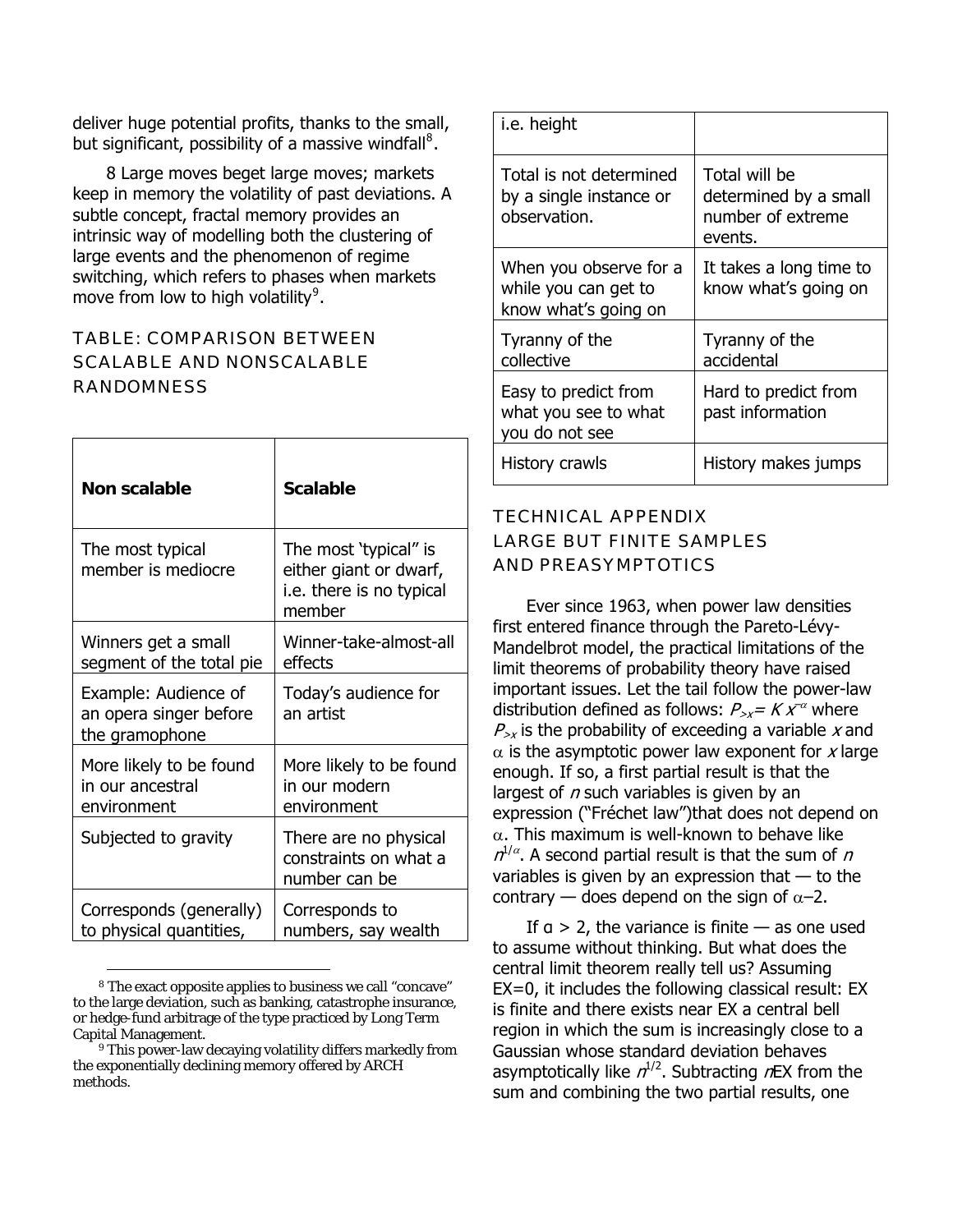deliver huge potential profits, thanks to the small, but significant, possibility of a massive windfall $^8$  $^8$ .

8 Large moves beget large moves; markets keep in memory the volatility of past deviations. A subtle concept, fractal memory provides an intrinsic way of modelling both the clustering of large events and the phenomenon of regime switching, which refers to phases when markets move from low to high volatility<sup>[9](#page-5-1)</sup>.

# TABLE: COMPARISON BETWEEN SCALABLE AND NONSCALABLE RANDOMNESS

| Non scalable                                                     | Scalable                                                                              |
|------------------------------------------------------------------|---------------------------------------------------------------------------------------|
| The most typical<br>member is mediocre                           | The most 'typical" is<br>either giant or dwarf,<br>i.e. there is no typical<br>member |
| Winners get a small<br>segment of the total pie                  | Winner-take-almost-all<br>effects                                                     |
| Example: Audience of<br>an opera singer before<br>the gramophone | Today's audience for<br>an artist                                                     |
| More likely to be found<br>in our ancestral<br>environment       | More likely to be found<br>in our modern<br>environment                               |
| Subjected to gravity                                             | There are no physical<br>constraints on what a<br>number can be                       |
| Corresponds (generally)<br>to physical quantities,               | Corresponds to<br>numbers, say wealth                                                 |

<span id="page-5-0"></span><sup>8</sup> The exact opposite applies to business we call "concave" to the large deviation, such as banking, catastrophe insurance, or hedge-fund arbitrage of the type practiced by Long Term Capital Management. 9 This power-law decaying volatility differs markedly from

j

| i.e. height                                                            |                                                                        |
|------------------------------------------------------------------------|------------------------------------------------------------------------|
| Total is not determined<br>by a single instance or<br>observation.     | Total will be<br>determined by a small<br>number of extreme<br>events. |
| When you observe for a<br>while you can get to<br>know what's going on | It takes a long time to<br>know what's going on                        |
| Tyranny of the<br>collective                                           | Tyranny of the<br>accidental                                           |
| Easy to predict from<br>what you see to what<br>you do not see         | Hard to predict from<br>past information                               |
| History crawls                                                         | History makes jumps                                                    |

### TECHNICAL APPENDIX LARGE BUT FINITE SAMPLES AND PREASYMPTOTICS

Ever since 1963, when power law densities first entered finance through the Pareto-Lévy-Mandelbrot model, the practical limitations of the limit theorems of probability theory have raised important issues. Let the tail follow the power-law distribution defined as follows:  $P_{\geq x} = K x^{\alpha}$  where  $P_{\rm{ex}}$  is the probability of exceeding a variable x and  $\alpha$  is the asymptotic power law exponent for x large enough. If so, a first partial result is that the largest of  $n$  such variables is given by an expression ("Fréchet law")that does not depend on  $\alpha$ . This maximum is well-known to behave like  $n^{1/\alpha}$ . A second partial result is that the sum of  $n$ variables is given by an expression that  $-$  to the contrary — does depend on the sign of  $\alpha$ -2.

If  $a > 2$ , the variance is finite — as one used to assume without thinking. But what does the central limit theorem really tell us? Assuming EX=0, it includes the following classical result: EX is finite and there exists near EX a central bell region in which the sum is increasingly close to a Gaussian whose standard deviation behaves asymptotically like  $n^{1/2}$ . Subtracting nEX from the sum and combining the two partial results, one

<span id="page-5-1"></span>the exponentially declining memory offered by ARCH methods.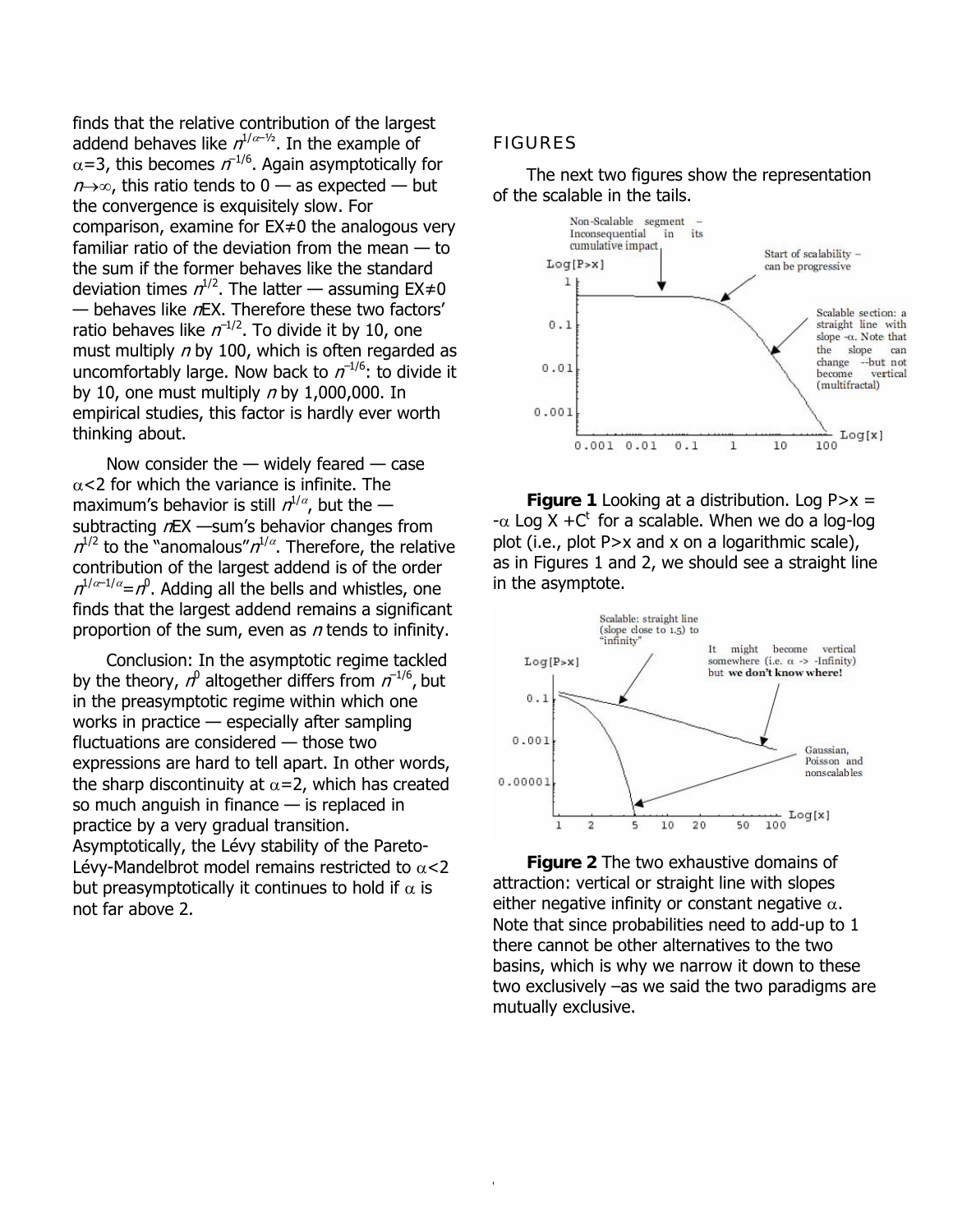finds that the relative contribution of the largest addend behaves like  $n^{1/\alpha-\frac{1}{2}}$ . In the example of  $\alpha$ =3, this becomes  $\bar{\eta}^{1/6}$ . Again asymptotically for  $n\rightarrow\infty$ , this ratio tends to 0 — as expected — but the convergence is exquisitely slow. For comparison, examine for EX≠0 the analogous very familiar ratio of the deviation from the mean — to the sum if the former behaves like the standard deviation times  $n^{1/2}$ . The latter — assuming EX≠0 - behaves like nEX. Therefore these two factors' ratio behaves like  $n^{-1/2}$ . To divide it by 10, one must multiply  $n$  by 100, which is often regarded as uncomfortably large. Now back to  $n^{-1/6}$ : to divide it by 10, one must multiply  $n$  by 1,000,000. In empirical studies, this factor is hardly ever worth thinking about.

Now consider the  $-$  widely feared  $-$  case  $\alpha$ <2 for which the variance is infinite. The maximum's behavior is still  $n^{1/\alpha}$ , but the  $$ subtracting nEX —sum's behavior changes from  $n^{1/2}$  to the "anomalous" $n^{1/\alpha}$ . Therefore, the relative contribution of the largest addend is of the order  $n^{1/\alpha-1/\alpha}$ = $n^0$ . Adding all the bells and whistles, one finds that the largest addend remains a significant proportion of the sum, even as  $n$  tends to infinity.

Conclusion: In the asymptotic regime tackled by the theory,  $n^0$  altogether differs from  $n^{-1/6}$ , but in the preasymptotic regime within which one works in practice — especially after sampling fluctuations are considered — those two expressions are hard to tell apart. In other words, the sharp discontinuity at  $\alpha$ =2, which has created so much anguish in finance — is replaced in practice by a very gradual transition. Asymptotically, the Lévy stability of the Pareto-Lévy-Mandelbrot model remains restricted to  $\alpha$ <2 but preasymptotically it continues to hold if  $\alpha$  is not far above 2.

#### FIGURES

The next two figures show the representation of the scalable in the tails.



**Figure 1** Looking at a distribution. Log P>x =  $-\alpha$  Log X +C<sup>t</sup> for a scalable. When we do a log-log plot (i.e., plot P>x and x on a logarithmic scale), as in Figures 1 and 2, we should see a straight line in the asymptote.



**Figure 2** The two exhaustive domains of attraction: vertical or straight line with slopes either negative infinity or constant negative  $\alpha$ . Note that since probabilities need to add-up to 1 there cannot be other alternatives to the two basins, which is why we narrow it down to these two exclusively –as we said the two paradigms are mutually exclusive.